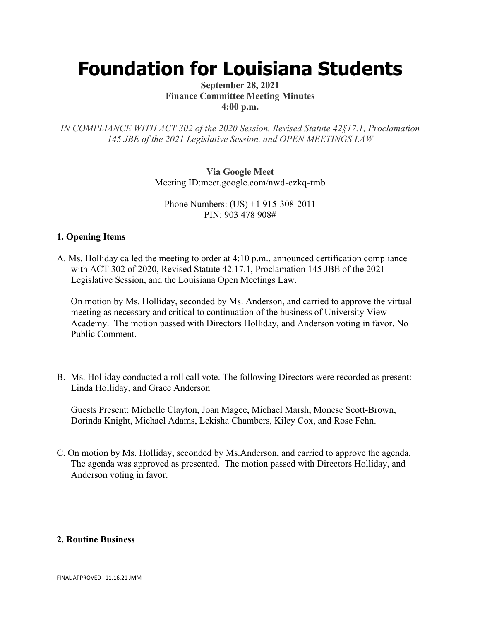# **Foundation for Louisiana Students**

### **September 28, 2021 Finance Committee Meeting Minutes 4:00 p.m.**

*IN COMPLIANCE WITH ACT 302 of the 2020 Session, Revised Statute 42§17.1, Proclamation 145 JBE of the 2021 Legislative Session, and OPEN MEETINGS LAW*

> **Via Google Meet**  Meeting ID:meet.google.com/nwd-czkq-tmb

Phone Numbers: (US) +1 915-308-2011 PIN: 903 478 908#

## **1. Opening Items**

A. Ms. Holliday called the meeting to order at 4:10 p.m., announced certification compliance with ACT 302 of 2020, Revised Statute 42.17.1, Proclamation 145 JBE of the 2021 Legislative Session, and the Louisiana Open Meetings Law.

On motion by Ms. Holliday, seconded by Ms. Anderson, and carried to approve the virtual meeting as necessary and critical to continuation of the business of University View Academy. The motion passed with Directors Holliday, and Anderson voting in favor. No Public Comment.

B. Ms. Holliday conducted a roll call vote. The following Directors were recorded as present: Linda Holliday, and Grace Anderson

Guests Present: Michelle Clayton, Joan Magee, Michael Marsh, Monese Scott-Brown, Dorinda Knight, Michael Adams, Lekisha Chambers, Kiley Cox, and Rose Fehn.

C. On motion by Ms. Holliday, seconded by Ms.Anderson, and carried to approve the agenda. The agenda was approved as presented. The motion passed with Directors Holliday, and Anderson voting in favor.

### **2. Routine Business**